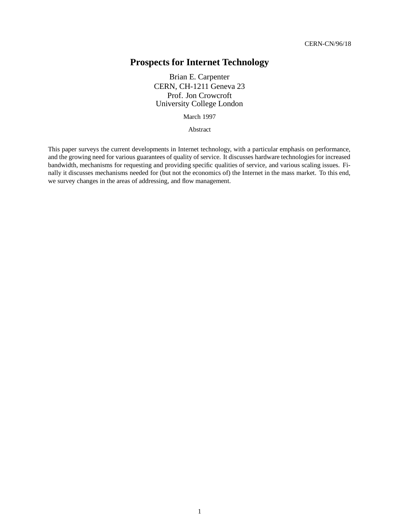# **Prospects for Internet Technology**

Brian E. Carpenter CERN, CH-1211 Geneva 23 Prof. Jon Crowcroft University College London

March 1997

Abstract

This paper surveys the current developments in Internet technology, with a particular emphasis on performance, and the growing need for various guarantees of quality of service. It discusses hardware technologies for increased bandwidth, mechanisms for requesting and providing specific qualities of service, and various scaling issues. Finally it discusses mechanisms needed for (but not the economics of) the Internet in the mass market. To this end, we survey changes in the areas of addressing, and flow management.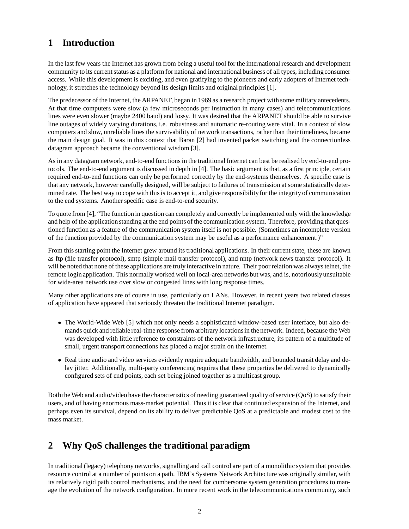# **1 Introduction**

In the last few years the Internet has grown from being a useful tool for the international research and development community to its current status as a platform for national and international business of all types, including consumer access. While this development is exciting, and even gratifying to the pioneers and early adopters of Internet technology, it stretches the technology beyond its design limits and original principles [1].

The predecessor of the Internet, the ARPANET, began in 1969 as a research project with some military antecedents. At that time computers were slow (a few microseconds per instruction in many cases) and telecommunications lines were even slower (maybe 2400 baud) and lossy. It was desired that the ARPANET should be able to survive line outages of widely varying durations, i.e. robustness and automatic re-routing were vital. In a context of slow computers and slow, unreliable lines the survivability of network transactions, rather than their timeliness, became the main design goal. It was in this context that Baran [2] had invented packet switching and the connectionless datagram approach became the conventional wisdom [3].

As in any datagram network, end-to-end functions in the traditional Internet can best be realised by end-to-end protocols. The end-to-end argument is discussed in depth in [4]. The basic argument is that, as a first principle, certain required end-to-end functions can only be performed correctly by the end-systems themselves. A specific case is that any network, however carefully designed, will be subject to failures of transmission at some statistically determined rate. The best way to cope with thisis to accept it, and give responsibilityfor the integrity of communication to the end systems. Another specific case is end-to-end security.

To quote from [4], "The function in question can completely and correctly be implemented only with the knowledge and help of the application standing at the end points of the communication system. Therefore, providing that questioned function as a feature of the communication system itself is not possible. (Sometimes an incomplete version of the function provided by the communication system may be useful as a performance enhancement.)"

From this starting point the Internet grew around its traditional applications. In their current state, these are known as ftp (file transfer protocol), smtp (simple mail transfer protocol), and nntp (network news transfer protocol). It will be noted that none of these applications are truly interactive in nature. Their poor relation was always telnet, the remote login application. This normally worked well on local-area networks but was, and is, notoriouslyunsuitable for wide-area network use over slow or congested lines with long response times.

Many other applications are of course in use, particularly on LANs. However, in recent years two related classes of application have appeared that seriously threaten the traditional Internet paradigm.

- The World-Wide Web [5] which not only needs a sophisticated window-based user interface, but also demands quick and reliable real-time response from arbitrary locationsin the network. Indeed, because the Web was developed with little reference to constraints of the network infrastructure, its pattern of a multitude of small, urgent transport connections has placed a major strain on the Internet.
- Real time audio and video services evidently require adequate bandwidth, and bounded transit delay and delay jitter. Additionally, multi-party conferencing requires that these properties be delivered to dynamically configured sets of end points, each set being joined together as a multicast group.

Both the Web and audio/video have the characteristics of needing guaranteed quality of service ( $\cos$ ) to satisfy their users, and of having enormous mass-market potential. Thus it is clear that continued expansion of the Internet, and perhaps even its survival, depend on its ability to deliver predictable QoS at a predictable and modest cost to the mass market.

# **2 Why QoS challenges the traditional paradigm**

In traditional (legacy) telephony networks, signalling and call control are part of a monolithic system that provides resource control at a number of points on a path. IBM's Systems Network Architecture was originally similar, with its relatively rigid path control mechanisms, and the need for cumbersome system generation procedures to manage the evolution of the network configuration. In more recent work in the telecommunications community, such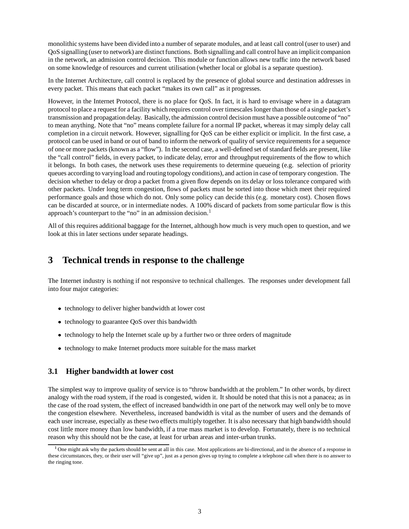monolithic systems have been divided into a number of separate modules, and at least call control (user to user) and QoS signalling (user to network) are distinctfunctions. Both signalling and call control have an implicit companion in the network, an admission control decision. This module or function allows new traffic into the network based on some knowledge of resources and current utilisation (whether local or global is a separate question).

In the Internet Architecture, call control is replaced by the presence of global source and destination addresses in every packet. This means that each packet "makes its own call" as it progresses.

However, in the Internet Protocol, there is no place for QoS. In fact, it is hard to envisage where in a datagram protocol to place a request for a facility which requires control over timescales longer than those of a single packet's transmission and propagationdelay. Basically, the admission control decision must have a possible outcome of "no" to mean anything. Note that "no" means complete failure for a normal IP packet, whereas it may simply delay call completion in a circuit network. However, signalling for QoS can be either explicit or implicit. In the first case, a protocol can be used in band or out of band to inform the network of quality of service requirements for a sequence of one or more packets (known as a "flow"). In the second case, a well-defined set of standard fields are present, like the "call control" fields, in every packet, to indicate delay, error and throughput requirements of the flow to which it belongs. In both cases, the network uses these requirements to determine queueing (e.g. selection of priority queues according to varying load and routing topologyconditions), and action in case of temporary congestion. The decision whether to delay or drop a packet from a given flow depends on its delay or loss tolerance compared with other packets. Under long term congestion, flows of packets must be sorted into those which meet their required performance goals and those which do not. Only some policy can decide this (e.g. monetary cost). Chosen flows can be discarded at source, or in intermediate nodes. A 100% discard of packets from some particular flow is this approach's counterpart to the "no" in an admission decision.

All of this requires additional baggage for the Internet, although how much is very much open to question, and we look at this in later sections under separate headings.

# **3 Technical trends in response to the challenge**

The Internet industry is nothing if not responsive to technical challenges. The responses under development fall into four major categories:

- technology to deliver higher bandwidth at lower cost
- technology to guarantee QoS over this bandwidth
- technology to help the Internet scale up by a further two or three orders of magnitude
- technology to make Internet products more suitable for the mass market

## **3.1 Higher bandwidth at lower cost**

The simplest way to improve quality of service is to "throw bandwidth at the problem." In other words, by direct analogy with the road system, if the road is congested, widen it. It should be noted that this is not a panacea; as in the case of the road system, the effect of increased bandwidth in one part of the network may well only be to move the congestion elsewhere. Nevertheless, increased bandwidth is vital as the number of users and the demands of each user increase, especially as these two effects multiply together. It is also necessary that high bandwidth should cost little more money than low bandwidth, if a true mass market is to develop. Fortunately, there is no technical reason why this should not be the case, at least for urban areas and inter-urban trunks.

 $<sup>1</sup>$  One might ask why the packets should be sent at all in this case. Most applications are bi-directional, and in the absence of a response in</sup> these circumstances, they, or their user will "give up", just as a person gives up trying to complete a telephone call when there is no answer to the ringing tone.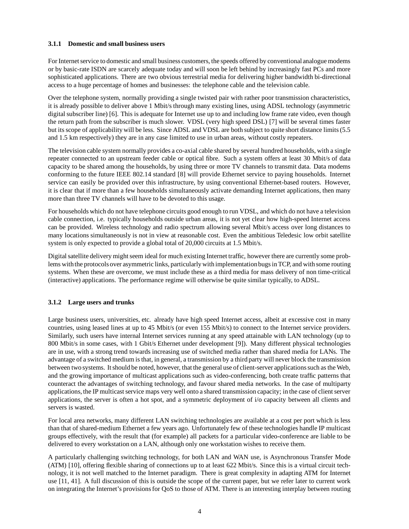#### **3.1.1 Domestic and small business users**

For Internet service to domestic and small business customers, the speeds offered by conventional analogue modems or by basic-rate ISDN are scarcely adequate today and will soon be left behind by increasingly fast PCs and more sophisticated applications. There are two obvious terrestrial media for delivering higher bandwidth bi-directional access to a huge percentage of homes and businesses: the telephone cable and the television cable.

Over the telephone system, normally providing a single twisted pair with rather poor transmission characteristics, it is already possible to deliver above 1 Mbit/s through many existing lines, using ADSL technology (asymmetric digital subscriber line) [6]. This is adequate for Internet use up to and including low frame rate video, even though the return path from the subscriber is much slower. VDSL (very high speed DSL) [7] will be several times faster but its scope of applicability will be less. Since ADSL and VDSL are both subject to quite short distance limits(5.5 and 1.5 km respectively) they are in any case limited to use in urban areas, without costly repeaters.

The television cable system normally provides a co-axial cable shared by several hundred households, with a single repeater connected to an upstream feeder cable or optical fibre. Such a system offers at least 30 Mbit/s of data capacity to be shared among the households, by using three or more TV channels to transmit data. Data modems conforming to the future IEEE 802.14 standard [8] will provide Ethernet service to paying households. Internet service can easily be provided over this infrastructure, by using conventional Ethernet-based routers. However, it is clear that if more than a few households simultaneously activate demanding Internet applications, then many more than three TV channels will have to be devoted to this usage.

For households which do not have telephone circuits good enough to run VDSL, and which do not have a television cable connection, i.e. typically households outside urban areas, it is not yet clear how high-speed Internet access can be provided. Wireless technology and radio spectrum allowing several Mbit/s access over long distances to many locations simultaneously is not in view at reasonable cost. Even the ambitious Teledesic low orbit satellite system is only expected to provide a global total of 20,000 circuits at 1.5 Mbit/s.

Digital satellite delivery might seem ideal for much existing Internet traffic, however there are currently some problems withthe protocols over asymmetric links, particularly with implementationbugsinTCP, and with some routing systems. When these are overcome, we must include these as a third media for mass delivery of non time-critical (interactive) applications. The performance regime will otherwise be quite similar typically, to ADSL.

## **3.1.2 Large users and trunks**

Large business users, universities, etc. already have high speed Internet access, albeit at excessive cost in many countries, using leased lines at up to 45 Mbit/s (or even 155 Mbit/s) to connect to the Internet service providers. Similarly, such users have internal Internet services running at any speed attainable with LAN technology (up to 800 Mbit/s in some cases, with 1 Gbit/s Ethernet under development [9]). Many different physical technologies are in use, with a strong trend towards increasing use of switched media rather than shared media for LANs. The advantage of a switched medium is that, in general, a transmission by a third party will never block the transmission between two systems. Itshould be noted, however, that the general use of client-server applicationssuch as the Web, and the growing importance of multicast applications such as video-conferencing, both create traffic patterns that counteract the advantages of switching technology, and favour shared media networks. In the case of multiparty applications, the IP multicast service maps very well onto a shared transmission capacity; in the case of client server applications, the server is often a hot spot, and a symmetric deployment of i/o capacity between all clients and servers is wasted.

For local area networks, many different LAN switching technologies are available at a cost per port which is less than that of shared-medium Ethernet a few years ago. Unfortunately few of these technologies handle IP multicast groups effectively, with the result that (for example) all packets for a particular video-conference are liable to be delivered to every workstation on a LAN, although only one workstation wishes to receive them.

A particularly challenging switching technology, for both LAN and WAN use, is Asynchronous Transfer Mode (ATM) [10], offering flexible sharing of connections up to at least 622 Mbit/s. Since this is a virtual circuit technology, it is not well matched to the Internet paradigm. There is great complexity in adapting ATM for Internet use [11, 41]. A full discussion of this is outside the scope of the current paper, but we refer later to current work on integrating the Internet's provisionsfor QoS to those of ATM. There is an interesting interplay between routing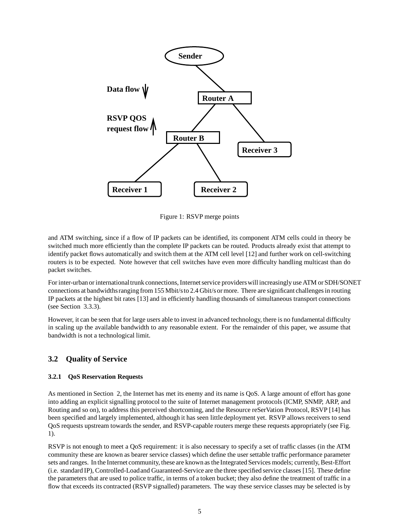

Figure 1: RSVP merge points

and ATM switching, since if a flow of IP packets can be identified, its component ATM cells could in theory be switched much more efficiently than the complete IP packets can be routed. Products already exist that attempt to identify packet flows automatically and switch them at the ATM cell level [12] and further work on cell-switching routers is to be expected. Note however that cell switches have even more difficulty handling multicast than do packet switches.

For inter-urban or international trunk connections, Internet service providers will increasingly use ATM or SDH/SONET connections at bandwidths ranging from 155 Mbit/s to 2.4 Gbit/s or more. There are significant challenges in routing IP packets at the highest bit rates [13] and in efficiently handling thousands of simultaneous transport connections (see Section 3.3.3).

However, it can be seen that for large users able to invest in advanced technology, there is no fundamental difficulty in scaling up the available bandwidth to any reasonable extent. For the remainder of this paper, we assume that bandwidth is not a technological limit.

# **3.2 Quality of Service**

## **3.2.1 QoS Reservation Requests**

As mentioned in Section 2, the Internet has met its enemy and its name is QoS. A large amount of effort has gone into adding an explicit signalling protocol to the suite of Internet management protocols (ICMP, SNMP, ARP, and Routing and so on), to address this perceived shortcoming, and the Resource reSerVation Protocol, RSVP [14] has been specified and largely implemented, although it has seen little deployment yet. RSVP allows receivers to send QoS requests upstream towards the sender, and RSVP-capable routers merge these requests appropriately (see Fig. 1).

RSVP is not enough to meet a QoS requirement: it is also necessary to specify a set of traffic classes (in the ATM community these are known as bearer service classes) which define the user settable traffic performance parameter sets and ranges. In the Internet community, these are known as the Integrated Services models; currently, Best-Effort (i.e. standard IP), Controlled-Loadand Guaranteed-Service are the three specified service classes [15]. These define the parameters that are used to police traffic, in terms of a token bucket; they also define the treatment of traffic in a flow that exceeds its contracted (RSVP signalled) parameters. The way these service classes may be selected is by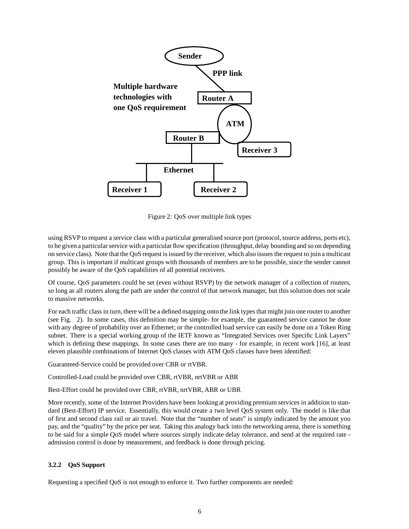

Figure 2: QoS over multiple link types

using RSVP to request a service class with a particular generalised source port (protocol,source address, ports etc), to be given a particular service with a particular flow specification (throughput, delay bounding and so on depending on service class). Note that the QoS request isissued by the receiver, which also issues the request to join a multicast group. This is important if multicast groups with thousands of members are to be possible, since the sender cannot possibly be aware of the QoS capabilities of all potential receivers.

Of course, QoS parameters could be set (even without RSVP) by the network manager of a collection of routers, so long as all routers along the path are under the control of that network manager, but this solution does not scale to massive networks.

For each traffic class in turn, there will be a defined mapping onto the link types that might join one router to another (see Fig. 2). In some cases, this definition may be simple- for example, the guaranteed service cannot be done with any degree of probability over an Ethernet; or the controlled load service can easily be done on a Token Ring subnet. There is a special working group of the IETF known as "Integrated Services over Specific Link Layers" which is defining these mappings. In some cases there are too many - for example, in recent work [16], at least eleven plausible combinations of Internet QoS classes with ATM QoS classes have been identified:

Guaranteed-Service could be provided over CBR or rtVBR.

Controlled-Load could be provided over CBR, rtVBR, nrtVBR or ABR

Best-Effort could be provided over CBR, rtVBR, nrtVBR, ABR or UBR

More recently, some of the Internet Providers have been looking at providing premium services in addition to standard (Best-Effort) IP service. Essentially, this would create a two level QoS system only. The model is like that of first and second class rail or air travel. Note that the "number of seats" is simply indicated by the amount you pay, and the "quality" by the price per seat. Taking this analogy back into the networking arena, there is something to be said for a simple QoS model where sources simply indicate delay tolerance, and send at the required rate admission control is done by measurement, and feedback is done through pricing.

## **3.2.2 QoS Support**

Requesting a specified QoS is not enough to enforce it. Two further components are needed: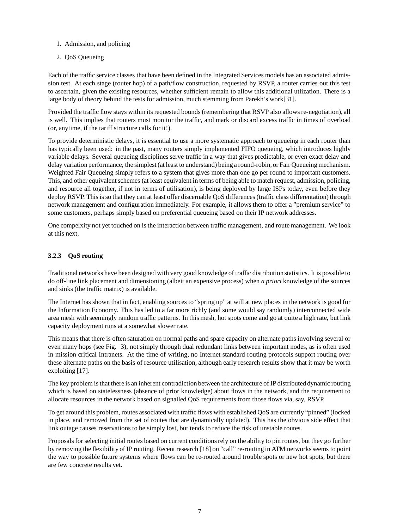- 1. Admission, and policing
- 2. QoS Queueing

Each of the traffic service classes that have been defined in the Integrated Services models has an associated admission test. At each stage (router hop) of a path/flow construction, requested by RSVP, a router carries out this test to ascertain, given the existing resources, whether sufficient remain to allow this additional utlization. There is a large body of theory behind the tests for admission, much stemming from Parekh's work[31].

Provided the traffic flow stays within its requested bounds (remembering that RSVP also allows re-negotiation), all is well. This implies that routers must monitor the traffic, and mark or discard excess traffic in times of overload (or, anytime, if the tariff structure calls for it!).

To provide deterministic delays, it is essential to use a more systematic approach to queueing in each router than has typically been used: in the past, many routers simply implemented FIFO queueing, which introduces highly variable delays. Several queueing disciplines serve traffic in a way that gives predictable, or even exact delay and delay variation performance, the simplest (at least to understand) being a round-robin, or Fair Queueing mechanism. Weighted Fair Queueing simply refers to a system that gives more than one go per round to important customers. This, and other equivalent schemes (at least equivalent in terms of being able to match request, admission, policing, and resource all together, if not in terms of utilisation), is being deployed by large ISPs today, even before they deploy RSVP. This is so that they can at least offer discernable QoS differences (traffic class differentation) through network management and configuration immediately. For example, it allows them to offer a "premium service" to some customers, perhaps simply based on preferential queueing based on their IP network addresses.

One compelxity not yet touched on is the interaction between traffic management, and route management. We look at this next.

## **3.2.3 QoS routing**

Traditional networks have been designed with very good knowledge of traffic distributionstatistics. It is possible to do off-line link placement and dimensioning (albeit an expensive process) when *a priori* knowledge of the sources and sinks (the traffic matrix) is available.

The Internet has shown that in fact, enabling sources to "spring up" at will at new places in the network is good for the Information Economy. This has led to a far more richly (and some would say randomly) interconnected wide area mesh with seemingly random traffic patterns. In this mesh, hot spots come and go at quite a high rate, but link capacity deployment runs at a somewhat slower rate.

This means that there is often saturation on normal paths and spare capacity on alternate paths involving several or even many hops (see Fig. 3), not simply through dual redundant links between important nodes, as is often used in mission critical Intranets. At the time of writing, no Internet standard routing protocols support routing over these alternate paths on the basis of resource utilisation, although early research results show that it may be worth exploiting [17].

The key problem isthat there is an inherent contradiction between the architecture of IP distributed dynamic routing which is based on statelessness (absence of prior knowledge) about flows in the network, and the requirement to allocate resources in the network based on signalled QoS requirements from those flows via, say, RSVP.

To get around this problem, routes associated with traffic flows with established QoS are currently "pinned" (locked in place, and removed from the set of routes that are dynamically updated). This has the obvious side effect that link outage causes reservations to be simply lost, but tends to reduce the risk of unstable routes.

Proposals for selecting initial routes based on current conditionsrely on the ability to pin routes, but they go further by removing the flexibility of IP routing. Recent research [18] on "call" re-routing in ATM networks seems to point the way to possible future systems where flows can be re-routed around trouble spots or new hot spots, but there are few concrete results yet.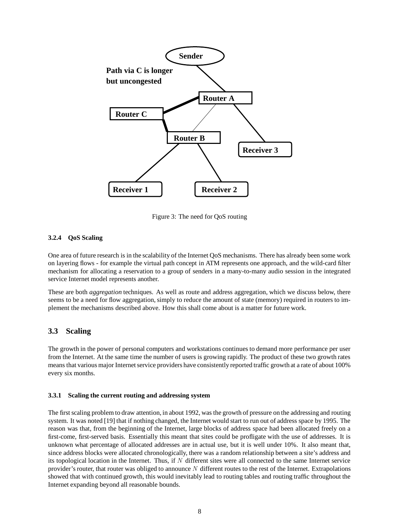

Figure 3: The need for QoS routing

## **3.2.4 QoS Scaling**

One area of future research is in the scalability of the Internet QoS mechanisms. There has already been some work on layering flows - for example the virtual path concept in ATM represents one approach, and the wild-card filter mechanism for allocating a reservation to a group of senders in a many-to-many audio session in the integrated service Internet model represents another.

These are both *aggregation* techniques. As well as route and address aggregation, which we discuss below, there seems to be a need for flow aggregation, simply to reduce the amount of state (memory) required in routers to implement the mechanisms described above. How this shall come about is a matter for future work.

# **3.3 Scaling**

The growth in the power of personal computers and workstations continues to demand more performance per user from the Internet. At the same time the number of users is growing rapidly. The product of these two growth rates means that various major Internet service providers have consistently reported traffic growth at a rate of about 100% every six months.

#### **3.3.1 Scaling the current routing and addressing system**

The first scaling problem to draw attention, in about 1992, was the growth of pressure on the addressing and routing system. It was noted [19] that if nothing changed, the Internet would start to run out of address space by 1995. The reason was that, from the beginning of the Internet, large blocks of address space had been allocated freely on a first-come, first-served basis. Essentially this meant that sites could be profligate with the use of addresses. It is unknown what percentage of allocated addresses are in actual use, but it is well under 10%. It also meant that, since address blocks were allocated chronologically, there was a random relationship between a site's address and its topological location in the Internet. Thus, if  $N$  different sites were all connected to the same Internet service provider's router, that router was obliged to announce  $N$  different routes to the rest of the Internet. Extrapolations showed that with continued growth, this would inevitably lead to routing tables and routing traffic throughout the Internet expanding beyond all reasonable bounds.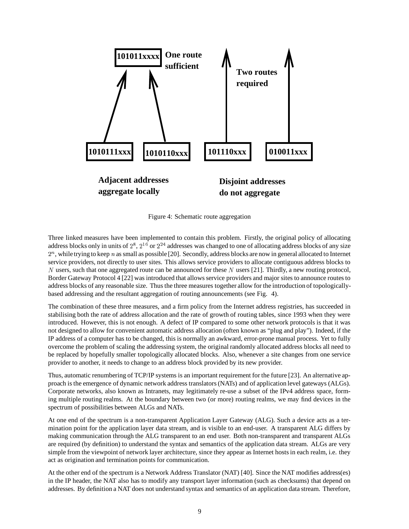

Figure 4: Schematic route aggregation

Three linked measures have been implemented to contain this problem. Firstly, the original policy of allocating address blocks only in units of  $2^8$ ,  $2^{16}$  or  $2^{24}$  addresses was changed to one of allocating address blocks of any size  $2^n$ , while trying to keep  $n$  as small as possible [20]. Secondly, address blocks are now in general allocated to Internet service providers, not directly to user sites. This allows service providers to allocate contiguous address blocks to N users, such that one aggregated route can be announced for these N users [21]. Thirdly, a new routing protocol, Border Gateway Protocol 4 [22] was introduced that allows service providers and major sites to announce routes to address blocks of any reasonable size. Thus the three measures together allow for the introduction of topologicallybased addressing and the resultant aggregation of routing announcements (see Fig. 4).

The combination of these three measures, and a firm policy from the Internet address registries, has succeeded in stabilising both the rate of address allocation and the rate of growth of routing tables, since 1993 when they were introduced. However, this is not enough. A defect of IP compared to some other network protocols is that it was not designed to allow for convenient automatic address allocation (often known as "plug and play"). Indeed, if the IP address of a computer has to be changed, this is normally an awkward, error-prone manual process. Yet to fully overcome the problem of scaling the addressing system, the original randomly allocated address blocks all need to be replaced by hopefully smaller topologically allocated blocks. Also, whenever a site changes from one service provider to another, it needs to change to an address block provided by its new provider.

Thus, automatic renumbering of TCP/IP systems is an important requirement for the future [23]. An alternative approach is the emergence of dynamic network address translators (NATs) and of application level gateways (ALGs). Corporate networks, also known as Intranets, may legitimately re-use a subset of the IPv4 address space, forming multiple routing realms. At the boundary between two (or more) routing realms, we may find devices in the spectrum of possibilities between ALGs and NATs.

At one end of the spectrum is a non-transparent Application Layer Gateway (ALG). Such a device acts as a termination point for the application layer data stream, and is visible to an end-user. A transparent ALG differs by making communication through the ALG transparent to an end user. Both non-transparent and transparent ALGs are required (by definition) to understand the syntax and semantics of the application data stream. ALGs are very simple from the viewpoint of network layer architecture, since they appear as Internet hosts in each realm, i.e. they act as origination and termination points for communication.

At the other end of the spectrum is a Network Address Translator (NAT) [40]. Since the NAT modifies address(es) in the IP header, the NAT also has to modify any transport layer information (such as checksums) that depend on addresses. By definition a NAT does not understand syntax and semantics of an application data stream. Therefore,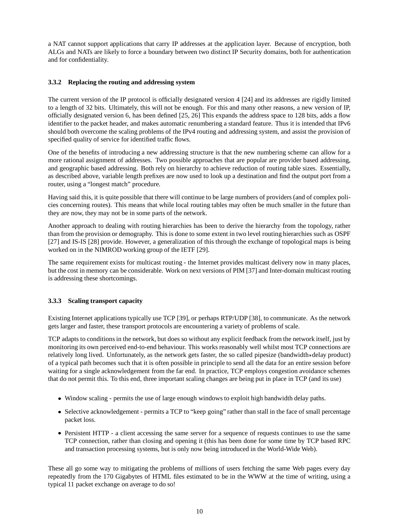a NAT cannot support applications that carry IP addresses at the application layer. Because of encryption, both ALGs and NATs are likely to force a boundary between two distinct IP Security domains, both for authentication and for confidentiality.

## **3.3.2 Replacing the routing and addressing system**

The current version of the IP protocol is officially designated version 4 [24] and its addresses are rigidly limited to a length of 32 bits. Ultimately, this will not be enough. For this and many other reasons, a new version of IP, officially designated version 6, has been defined [25, 26] This expands the address space to 128 bits, adds a flow identifier to the packet header, and makes automatic renumbering a standard feature. Thus it is intended that IPv6 should both overcome the scaling problems of the IPv4 routing and addressing system, and assist the provision of specified quality of service for identified traffic flows.

One of the benefits of introducing a new addressing structure is that the new numbering scheme can allow for a more rational assignment of addresses. Two possible approaches that are popular are provider based addressing, and geographic based addressing. Both rely on hierarchy to achieve reduction of routing table sizes. Essentially, as described above, variable length prefixes are now used to look up a destination and find the output port from a router, using a "longest match" procedure.

Having said this, it is quite possible that there will continue to be large numbers of providers (and of complex policies concerning routes). This means that while local routing tables may often be much smaller in the future than they are now, they may not be in some parts of the network.

Another approach to dealing with routing hierarchies has been to derive the hierarchy from the topology, rather than from the provision or demography. This is done to some extent in two level routing hierarchies such as OSPF [27] and IS-IS [28] provide. However, a generalization of this through the exchange of topological maps is being worked on in the NIMROD working group of the IETF [29].

The same requirement exists for multicast routing - the Internet provides multicast delivery now in many places, but the cost in memory can be considerable. Work on next versions of PIM [37] and Inter-domain multicast routing is addressing these shortcomings.

## **3.3.3 Scaling transport capacity**

Existing Internet applications typically use TCP [39], or perhaps RTP/UDP [38], to communicate. As the network gets larger and faster, these transport protocols are encountering a variety of problems of scale.

TCP adapts to conditions in the network, but does so without any explicit feedback from the network itself, just by monitoring its own perceived end-to-end behaviour. This works reasonably well whilst most TCP connections are relatively long lived. Unfortunately, as the network gets faster, the so called pipesize (bandwidth \*delay product) of a typical path becomes such that it is often possible in principle to send all the data for an entire session before waiting for a single acknowledgement from the far end. In practice, TCP employs congestion avoidance schemes that do not permit this. To this end, three important scaling changes are being put in place in TCP (and its use)

- Window scaling permits the use of large enough windows to exploit high bandwidth delay paths.
- Selective acknowledgement permits a TCP to "keep going" rather than stall in the face of small percentage packet loss.
- Persistent HTTP a client accessing the same server for a sequence of requests continues to use the same TCP connection, rather than closing and opening it (this has been done for some time by TCP based RPC and transaction processing systems, but is only now being introduced in the World-Wide Web).

These all go some way to mitigating the problems of millions of users fetching the same Web pages every day repeatedly from the 170 Gigabytes of HTML files estimated to be in the WWW at the time of writing, using a typical 11 packet exchange on average to do so!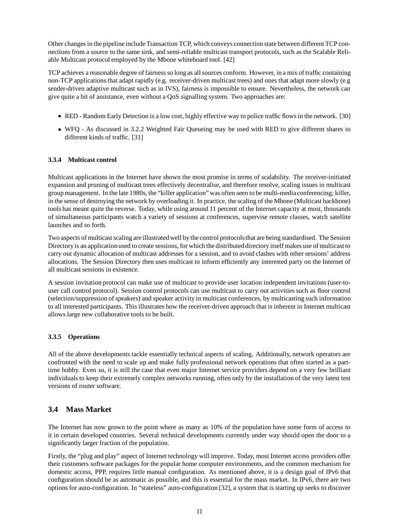Other changes in the pipeline include Transaction TCP, which conveys connection state between different TCP connections from a source to the same sink, and semi-reliable multicast transport protocols, such as the Scalable Reliable Multicast protocol employed by the Mbone whiteboard tool. [42]

TCP achieves a reasonable degree of fairness so long as allsources conform. However, in a mix of traffic containing non-TCP applications that adapt rapidly (e.g. receiver-driven multicast trees) and ones that adapt more slowly (e.g sender-driven adaptive multicast such as in IVS), fairness is impossible to ensure. Nevertheless, the network can give quite a bit of assistance, even without a QoS signalling system. Two approaches are:

- RED Random Early Detection is a low cost, highly effective way to police traffic flows in the network. [30]
- WFQ As discussed in 3.2.2 Weighted Fair Queueing may be used with RED to give different shares to different kinds of traffic. [31]

## **3.3.4 Multicast control**

Multicast applications in the Internet have shown the most promise in terms of scalability. The receiver-initiated expansion and pruning of multicast trees effectively decentralise, and therefore resolve, scaling issues in multicast group management. In the late 1980s, the "killer application" was often seen to be multi-media conferencing; killer, in the sense of destroying the network by overloading it. In practice, the scaling of the Mbone (Multicast backbone) tools has meant quite the reverse. Today, while using around 11 percent of the Internet capacity at most, thousands of simultaneous participants watch a variety of sessions at conferences, supervise remote classes, watch satellite launches and so forth.

Two aspects of multicastscaling are illustratedwell by the control protocolsthat are being standardised. The Session Directory is an application used to create sessions, for which the distributeddirectory itself makes use of multicast to carry out dynamic allocation of multicast addresses for a session, and to avoid clashes with other sessions' address allocations. The Session Directory then uses multicast to inform efficiently any interested party on the Internet of all multicast sessions in existence.

A session invitation protocol can make use of multicast to provide user location independent invitations (user-touser call control protocol). Session control protocols can use multicast to carry out activities such as floor control (selection/suppression of speakers) and speaker activity in multicast conferences, by multicasting such information to all interested participants. This illustrates how the receiver-driven approach that is inherent in Internet multicast allows large new collaborative tools to be built.

# **3.3.5 Operations**

All of the above developments tackle essentially technical aspects of scaling. Additionally, network operators are confronted with the need to scale up and make fully professional network operations that often started as a parttime hobby. Even so, it is still the case that even major Internet service providers depend on a very few brilliant individuals to keep their extremely complex networks running, often only by the installation of the very latest test versions of router software.

# **3.4 Mass Market**

The Internet has now grown to the point where as many as 10% of the population have some form of access to it in certain developed countries. Several technical developments currently under way should open the door to a significantly larger fraction of the population.

Firstly, the "plug and play" aspect of Internet technology will improve. Today, most Internet access providers offer their customers software packages for the popular home computer environments, and the common mechanism for domestic access, PPP, requires little manual configuration. As mentioned above, it is a design goal of IPv6 that configuration should be as automatic as possible, and this is essential for the mass market. In IPv6, there are two options for auto-configuration. In "stateless" auto-configuration [32], a system that is starting up seeks to discover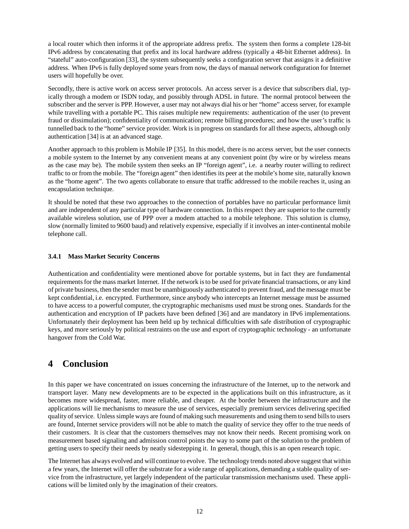a local router which then informs it of the appropriate address prefix. The system then forms a complete 128-bit IPv6 address by concatenating that prefix and its local hardware address (typically a 48-bit Ethernet address). In "stateful" auto-configuration [33], the system subsequently seeks a configuration server that assigns it a definitive address. When IPv6 is fully deployed some years from now, the days of manual network configuration for Internet users will hopefully be over.

Secondly, there is active work on access server protocols. An access server is a device that subscribers dial, typically through a modem or ISDN today, and possibly through ADSL in future. The normal protocol between the subscriber and the server is PPP. However, a user may not always dial his or her "home" access server, for example while travelling with a portable PC. This raises multiple new requirements: authentication of the user (to prevent fraud or dissimulation); confidentiality of communication; remote billing procedures; and how the user's traffic is tunnelled back to the "home" service provider. Work is in progress on standards for all these aspects, although only authentication [34] is at an advanced stage.

Another approach to this problem is Mobile IP [35]. In this model, there is no access server, but the user connects a mobile system to the Internet by any convenient means at any convenient point (by wire or by wireless means as the case may be). The mobile system then seeks an IP "foreign agent", i.e. a nearby router willing to redirect traffic to or from the mobile. The "foreign agent" then identifies its peer at the mobile's home site, naturally known as the "home agent". The two agents collaborate to ensure that traffic addressed to the mobile reaches it, using an encapsulation technique.

It should be noted that these two approaches to the connection of portables have no particular performance limit and are independent of any particular type of hardware connection. In this respect they are superior to the currently available wireless solution, use of PPP over a modem attached to a mobile telephone. This solution is clumsy, slow (normally limited to 9600 baud) and relatively expensive, especially if it involves an inter-continental mobile telephone call.

#### **3.4.1 Mass Market Security Concerns**

Authentication and confidentiality were mentioned above for portable systems, but in fact they are fundamental requirements for the mass market Internet. If the network isto be used for private financial transactions, or any kind of private business, then the sender must be unambiguously authenticated to prevent fraud, and the message must be kept confidential, i.e. encrypted. Furthermore, since anybody who intercepts an Internet message must be assumed to have access to a powerful computer, the cryptographic mechanisms used must be strong ones. Standards for the authentication and encryption of IP packets have been defined [36] and are mandatory in IPv6 implementations. Unfortunately their deployment has been held up by technical difficulties with safe distribution of cryptographic keys, and more seriously by political restraints on the use and export of cryptographic technology - an unfortunate hangover from the Cold War.

# **4 Conclusion**

In this paper we have concentrated on issues concerning the infrastructure of the Internet, up to the network and transport layer. Many new developments are to be expected in the applications built on this infrastructure, as it becomes more widespread, faster, more reliable, and cheaper. At the border between the infrastructure and the applications will lie mechanisms to measure the use of services, especially premium services delivering specified quality of service. Unless simple ways are found of making such measurements and using them to send bills to users are found, Internet service providers will not be able to match the quality of service they offer to the true needs of their customers. It is clear that the customers themselves may not know their needs. Recent promising work on measurement based signaling and admission control points the way to some part of the solution to the problem of getting users to specify their needs by neatly sidestepping it. In general, though, this is an open research topic.

The Internet has always evolved and will continue to evolve. The technology trends noted above suggest that within a few years, the Internet will offer the substrate for a wide range of applications, demanding a stable quality of service from the infrastructure, yet largely independent of the particular transmission mechanisms used. These applications will be limited only by the imagination of their creators.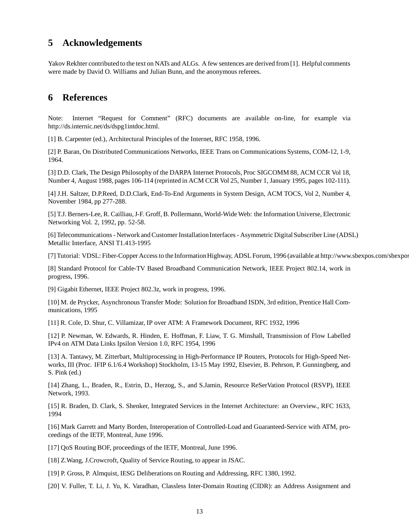# **5 Acknowledgements**

Yakov Rekhter contributed to the text on NATs and ALGs. A few sentences are derived from [1]. Helpful comments were made by David O. Williams and Julian Bunn, and the anonymous referees.

# **6 References**

Note: Internet "Request for Comment" (RFC) documents are available on-line, for example via http://ds.internic.net/ds/dspg1intdoc.html.

[1] B. Carpenter (ed.), Architectural Principles of the Internet, RFC 1958, 1996.

[2] P. Baran, On Distributed Communications Networks, IEEE Trans on Communications Systems, COM-12, 1-9, 1964.

[3] D.D. Clark, The Design Philosophy of the DARPA Internet Protocols, Proc SIGCOMM 88, ACM CCR Vol 18, Number 4, August 1988, pages 106-114 (reprinted in ACM CCR Vol 25, Number 1, January 1995, pages 102-111).

[4] J.H. Saltzer, D.P.Reed, D.D.Clark, End-To-End Arguments in System Design, ACM TOCS, Vol 2, Number 4, November 1984, pp 277-288.

[5] T.J. Berners-Lee, R. Cailliau,J-F. Groff, B. Pollermann, World-Wide Web: the Information Universe, Electronic Networking Vol. 2, 1992, pp. 52-58.

[6]Telecommunications - Network and Customer InstallationInterfaces - Asymmetric DigitalSubscriber Line (ADSL) Metallic Interface, ANSI T1.413-1995

[7] Tutorial: VDSL: Fiber-Copper Access to the Information Highway, ADSL Forum, 1996 (available at http://www.sbexpos.com/sbexpos

[8] Standard Protocol for Cable-TV Based Broadband Communication Network, IEEE Project 802.14, work in progress, 1996.

[9] Gigabit Ethernet, IEEE Project 802.3z, work in progress, 1996.

[10] M. de Prycker, Asynchronous Transfer Mode: Solution for Broadband ISDN, 3rd edition, Prentice Hall Communications, 1995

[11] R. Cole, D. Shur, C. Villamizar, IP over ATM: A Framework Document, RFC 1932, 1996

[12] P. Newman, W. Edwards, R. Hinden, E. Hoffman, F. Liaw, T. G. Minshall, Transmission of Flow Labelled IPv4 on ATM Data Links Ipsilon Version 1.0, RFC 1954, 1996

[13] A. Tantawy, M. Zitterbart, Multiprocessing in High-Performance IP Routers, Protocols for High-Speed Networks, III (Proc. IFIP 6.1/6.4 Workshop) Stockholm, 13-15 May 1992, Elsevier, B. Pehrson, P. Gunningberg, and S. Pink (ed.)

[14] Zhang, L., Braden, R., Estrin, D., Herzog, S., and S.Jamin, Resource ReSerVation Protocol (RSVP), IEEE Network, 1993.

[15] R. Braden, D. Clark, S. Shenker, Integrated Services in the Internet Architecture: an Overview., RFC 1633, 1994

[16] Mark Garrett and Marty Borden, Interoperation of Controlled-Load and Guaranteed-Service with ATM, proceedings of the IETF, Montreal, June 1996.

[17] QoS Routing BOF, proceedings of the IETF, Montreal, June 1996.

[18] Z.Wang, J.Crowcroft, Quality of Service Routing, to appear in JSAC.

[19] P. Gross, P. Almquist, IESG Deliberations on Routing and Addressing, RFC 1380, 1992.

[20] V. Fuller, T. Li, J. Yu, K. Varadhan, Classless Inter-Domain Routing (CIDR): an Address Assignment and